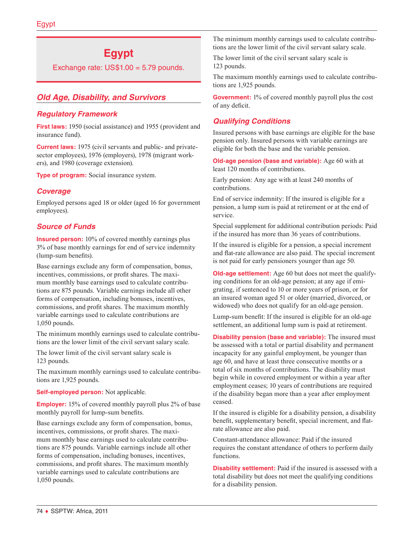# **Egypt**

Exchange rate: US\$1.00 = 5.79 pounds.

# *Old Age, Disability, and Survivors*

# *Regulatory Framework*

**First laws:** 1950 (social assistance) and 1955 (provident and insurance fund).

**Current laws:** 1975 (civil servants and public- and privatesector employees), 1976 (employers), 1978 (migrant workers), and 1980 (coverage extension).

**Type of program:** Social insurance system.

# *Coverage*

Employed persons aged 18 or older (aged 16 for government employees).

# *Source of Funds*

**Insured person:** 10% of covered monthly earnings plus 3% of base monthly earnings for end of service indemnity (lump-sum benefits).

Base earnings exclude any form of compensation, bonus, incentives, commissions, or profit shares. The maximum monthly base earnings used to calculate contributions are 875 pounds. Variable earnings include all other forms of compensation, including bonuses, incentives, commissions, and profit shares. The maximum monthly variable earnings used to calculate contributions are 1,050 pounds.

The minimum monthly earnings used to calculate contributions are the lower limit of the civil servant salary scale.

The lower limit of the civil servant salary scale is 123 pounds.

The maximum monthly earnings used to calculate contributions are 1,925 pounds.

**Self-employed person:** Not applicable.

**Employer:** 15% of covered monthly payroll plus 2% of base monthly payroll for lump-sum benefits.

Base earnings exclude any form of compensation, bonus, incentives, commissions, or profit shares. The maximum monthly base earnings used to calculate contributions are 875 pounds. Variable earnings include all other forms of compensation, including bonuses, incentives, commissions, and profit shares. The maximum monthly variable earnings used to calculate contributions are 1,050 pounds.

The minimum monthly earnings used to calculate contributions are the lower limit of the civil servant salary scale.

The lower limit of the civil servant salary scale is 123 pounds.

The maximum monthly earnings used to calculate contributions are 1,925 pounds.

**Government:** 1% of covered monthly payroll plus the cost of any deficit.

# *Qualifying Conditions*

Insured persons with base earnings are eligible for the base pension only. Insured persons with variable earnings are eligible for both the base and the variable pension.

**Old-age pension (base and variable):** Age 60 with at least 120 months of contributions.

Early pension: Any age with at least 240 months of contributions.

End of service indemnity: If the insured is eligible for a pension, a lump sum is paid at retirement or at the end of service.

Special supplement for additional contribution periods: Paid if the insured has more than 36 years of contributions.

If the insured is eligible for a pension, a special increment and flat-rate allowance are also paid. The special increment is not paid for early pensioners younger than age 50.

**Old-age settlement:** Age 60 but does not meet the qualifying conditions for an old-age pension; at any age if emigrating, if sentenced to 10 or more years of prison, or for an insured woman aged 51 or older (married, divorced, or widowed) who does not qualify for an old-age pension.

Lump-sum benefit: If the insured is eligible for an old-age settlement, an additional lump sum is paid at retirement.

**Disability pension (base and variable):** The insured must be assessed with a total or partial disability and permanent incapacity for any gainful employment, be younger than age 60, and have at least three consecutive months or a total of six months of contributions. The disability must begin while in covered employment or within a year after employment ceases; 10 years of contributions are required if the disability began more than a year after employment ceased.

If the insured is eligible for a disability pension, a disability benefit, supplementary benefit, special increment, and flatrate allowance are also paid.

Constant-attendance allowance: Paid if the insured requires the constant attendance of others to perform daily functions.

**Disability settlement:** Paid if the insured is assessed with a total disability but does not meet the qualifying conditions for a disability pension.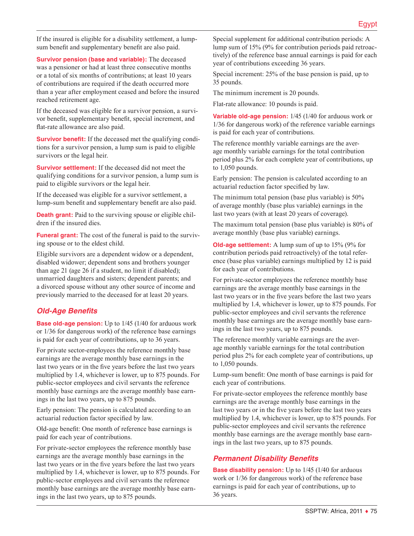If the insured is eligible for a disability settlement, a lumpsum benefit and supplementary benefit are also paid.

**Survivor pension (base and variable):** The deceased was a pensioner or had at least three consecutive months or a total of six months of contributions; at least 10 years of contributions are required if the death occurred more than a year after employment ceased and before the insured reached retirement age.

If the deceased was eligible for a survivor pension, a survivor benefit, supplementary benefit, special increment, and flat-rate allowance are also paid.

**Survivor benefit:** If the deceased met the qualifying conditions for a survivor pension, a lump sum is paid to eligible survivors or the legal heir.

**Survivor settlement:** If the deceased did not meet the qualifying conditions for a survivor pension, a lump sum is paid to eligible survivors or the legal heir.

If the deceased was eligible for a survivor settlement, a lump-sum benefit and supplementary benefit are also paid.

**Death grant:** Paid to the surviving spouse or eligible children if the insured dies.

**Funeral grant:** The cost of the funeral is paid to the surviving spouse or to the eldest child.

Eligible survivors are a dependent widow or a dependent, disabled widower; dependent sons and brothers younger than age 21 (age 26 if a student, no limit if disabled); unmarried daughters and sisters; dependent parents; and a divorced spouse without any other source of income and previously married to the deceased for at least 20 years.

# *Old-Age Benefits*

**Base old-age pension:** Up to 1/45 (1/40 for arduous work or 1/36 for dangerous work) of the reference base earnings is paid for each year of contributions, up to 36 years.

For private sector-employees the reference monthly base earnings are the average monthly base earnings in the last two years or in the five years before the last two years multiplied by 1.4, whichever is lower, up to 875 pounds. For public-sector employees and civil servants the reference monthly base earnings are the average monthly base earnings in the last two years, up to 875 pounds.

Early pension: The pension is calculated according to an actuarial reduction factor specified by law.

Old-age benefit: One month of reference base earnings is paid for each year of contributions.

For private-sector employees the reference monthly base earnings are the average monthly base earnings in the last two years or in the five years before the last two years multiplied by 1.4, whichever is lower, up to 875 pounds. For public-sector employees and civil servants the reference monthly base earnings are the average monthly base earnings in the last two years, up to 875 pounds.

Special supplement for additional contribution periods: A lump sum of 15% (9% for contribution periods paid retroactively) of the reference base annual earnings is paid for each year of contributions exceeding 36 years.

Special increment: 25% of the base pension is paid, up to 35 pounds.

The minimum increment is 20 pounds.

Flat-rate allowance: 10 pounds is paid.

**Variable old-age pension:** 1/45 (1/40 for arduous work or 1/36 for dangerous work) of the reference variable earnings is paid for each year of contributions.

The reference monthly variable earnings are the average monthly variable earnings for the total contribution period plus 2% for each complete year of contributions, up to 1,050 pounds.

Early pension: The pension is calculated according to an actuarial reduction factor specified by law.

The minimum total pension (base plus variable) is 50% of average monthly (base plus variable) earnings in the last two years (with at least 20 years of coverage).

The maximum total pension (base plus variable) is 80% of average monthly (base plus variable) earnings.

**Old-age settlement:** A lump sum of up to 15% (9% for contribution periods paid retroactively) of the total reference (base plus variable) earnings multiplied by 12 is paid for each year of contributions.

For private-sector employees the reference monthly base earnings are the average monthly base earnings in the last two years or in the five years before the last two years multiplied by 1.4, whichever is lower, up to 875 pounds. For public-sector employees and civil servants the reference monthly base earnings are the average monthly base earnings in the last two years, up to 875 pounds.

The reference monthly variable earnings are the average monthly variable earnings for the total contribution period plus 2% for each complete year of contributions, up to 1,050 pounds.

Lump-sum benefit: One month of base earnings is paid for each year of contributions.

For private-sector employees the reference monthly base earnings are the average monthly base earnings in the last two years or in the five years before the last two years multiplied by 1.4, whichever is lower, up to 875 pounds. For public-sector employees and civil servants the reference monthly base earnings are the average monthly base earnings in the last two years, up to 875 pounds.

## *Permanent Disability Benefits*

**Base disability pension:** Up to  $1/45$  ( $1/40$  for arduous work or 1/36 for dangerous work) of the reference base earnings is paid for each year of contributions, up to 36 years.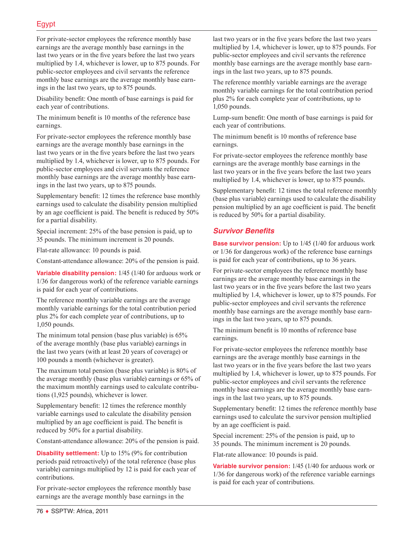For private-sector employees the reference monthly base earnings are the average monthly base earnings in the last two years or in the five years before the last two years multiplied by 1.4, whichever is lower, up to 875 pounds. For public-sector employees and civil servants the reference monthly base earnings are the average monthly base earnings in the last two years, up to 875 pounds.

Disability benefit: One month of base earnings is paid for each year of contributions.

The minimum benefit is 10 months of the reference base earnings.

For private-sector employees the reference monthly base earnings are the average monthly base earnings in the last two years or in the five years before the last two years multiplied by 1.4, whichever is lower, up to 875 pounds. For public-sector employees and civil servants the reference monthly base earnings are the average monthly base earnings in the last two years, up to 875 pounds.

Supplementary benefit: 12 times the reference base monthly earnings used to calculate the disability pension multiplied by an age coefficient is paid. The benefit is reduced by 50% for a partial disability.

Special increment: 25% of the base pension is paid, up to 35 pounds. The minimum increment is 20 pounds.

Flat-rate allowance: 10 pounds is paid.

Constant-attendance allowance: 20% of the pension is paid.

**Variable disability pension:** 1/45 (1/40 for arduous work or 1/36 for dangerous work) of the reference variable earnings is paid for each year of contributions.

The reference monthly variable earnings are the average monthly variable earnings for the total contribution period plus 2% for each complete year of contributions, up to 1,050 pounds.

The minimum total pension (base plus variable) is 65% of the average monthly (base plus variable) earnings in the last two years (with at least 20 years of coverage) or 100 pounds a month (whichever is greater).

The maximum total pension (base plus variable) is 80% of the average monthly (base plus variable) earnings or 65% of the maximum monthly earnings used to calculate contributions (1,925 pounds), whichever is lower.

Supplementary benefit: 12 times the reference monthly variable earnings used to calculate the disability pension multiplied by an age coefficient is paid. The benefit is reduced by 50% for a partial disability.

Constant-attendance allowance: 20% of the pension is paid.

**Disability settlement:** Up to 15% (9% for contribution periods paid retroactively) of the total reference (base plus variable) earnings multiplied by 12 is paid for each year of contributions.

For private-sector employees the reference monthly base earnings are the average monthly base earnings in the

last two years or in the five years before the last two years multiplied by 1.4, whichever is lower, up to 875 pounds. For public-sector employees and civil servants the reference monthly base earnings are the average monthly base earnings in the last two years, up to 875 pounds.

The reference monthly variable earnings are the average monthly variable earnings for the total contribution period plus 2% for each complete year of contributions, up to 1,050 pounds.

Lump-sum benefit: One month of base earnings is paid for each year of contributions.

The minimum benefit is 10 months of reference base earnings.

For private-sector employees the reference monthly base earnings are the average monthly base earnings in the last two years or in the five years before the last two years multiplied by 1.4, whichever is lower, up to 875 pounds.

Supplementary benefit: 12 times the total reference monthly (base plus variable) earnings used to calculate the disability pension multiplied by an age coefficient is paid. The benefit is reduced by 50% for a partial disability.

#### *Survivor Benefits*

**Base survivor pension:** Up to 1/45 (1/40 for arduous work or 1/36 for dangerous work) of the reference base earnings is paid for each year of contributions, up to 36 years.

For private-sector employees the reference monthly base earnings are the average monthly base earnings in the last two years or in the five years before the last two years multiplied by 1.4, whichever is lower, up to 875 pounds. For public-sector employees and civil servants the reference monthly base earnings are the average monthly base earnings in the last two years, up to 875 pounds.

The minimum benefit is 10 months of reference base earnings.

For private-sector employees the reference monthly base earnings are the average monthly base earnings in the last two years or in the five years before the last two years multiplied by 1.4, whichever is lower, up to 875 pounds. For public-sector employees and civil servants the reference monthly base earnings are the average monthly base earnings in the last two years, up to 875 pounds.

Supplementary benefit: 12 times the reference monthly base earnings used to calculate the survivor pension multiplied by an age coefficient is paid.

Special increment: 25% of the pension is paid, up to 35 pounds. The minimum increment is 20 pounds.

Flat-rate allowance: 10 pounds is paid.

**Variable survivor pension:** 1/45 (1/40 for arduous work or 1/36 for dangerous work) of the reference variable earnings is paid for each year of contributions.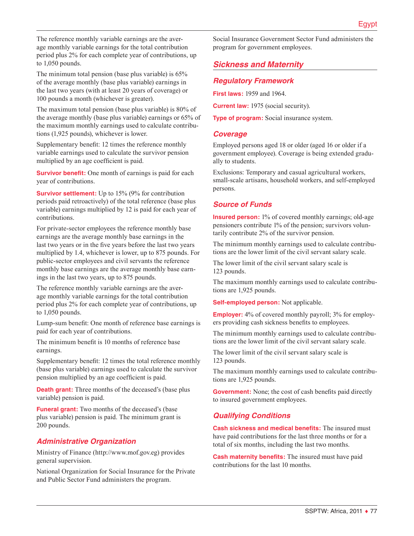The reference monthly variable earnings are the average monthly variable earnings for the total contribution period plus 2% for each complete year of contributions, up to 1,050 pounds.

The minimum total pension (base plus variable) is 65% of the average monthly (base plus variable) earnings in the last two years (with at least 20 years of coverage) or 100 pounds a month (whichever is greater).

The maximum total pension (base plus variable) is 80% of the average monthly (base plus variable) earnings or 65% of the maximum monthly earnings used to calculate contributions (1,925 pounds), whichever is lower.

Supplementary benefit: 12 times the reference monthly variable earnings used to calculate the survivor pension multiplied by an age coefficient is paid.

**Survivor benefit:** One month of earnings is paid for each year of contributions.

**Survivor settlement:** Up to 15% (9% for contribution periods paid retroactively) of the total reference (base plus variable) earnings multiplied by 12 is paid for each year of contributions.

For private-sector employees the reference monthly base earnings are the average monthly base earnings in the last two years or in the five years before the last two years multiplied by 1.4, whichever is lower, up to 875 pounds. For public-sector employees and civil servants the reference monthly base earnings are the average monthly base earnings in the last two years, up to 875 pounds.

The reference monthly variable earnings are the average monthly variable earnings for the total contribution period plus 2% for each complete year of contributions, up to 1,050 pounds.

Lump-sum benefit: One month of reference base earnings is paid for each year of contributions.

The minimum benefit is 10 months of reference base earnings.

Supplementary benefit: 12 times the total reference monthly (base plus variable) earnings used to calculate the survivor pension multiplied by an age coefficient is paid.

**Death grant:** Three months of the deceased's (base plus variable) pension is paid.

**Funeral grant:** Two months of the deceased's (base plus variable) pension is paid. The minimum grant is 200 pounds.

## *Administrative Organization*

Ministry of Finance ([http://www.mof.gov.eg\)](http://www.mof.gov.eg) provides general supervision.

National Organization for Social Insurance for the Private and Public Sector Fund administers the program.

Social Insurance Government Sector Fund administers the program for government employees.

# *Sickness and Maternity*

#### *Regulatory Framework*

**First laws:** 1959 and 1964.

**Current law:** 1975 (social security).

**Type of program:** Social insurance system.

#### *Coverage*

Employed persons aged 18 or older (aged 16 or older if a government employee). Coverage is being extended gradually to students.

Exclusions: Temporary and casual agricultural workers, small-scale artisans, household workers, and self-employed persons.

## *Source of Funds*

**Insured person:** 1% of covered monthly earnings; old-age pensioners contribute 1% of the pension; survivors voluntarily contribute 2% of the survivor pension.

The minimum monthly earnings used to calculate contributions are the lower limit of the civil servant salary scale.

The lower limit of the civil servant salary scale is 123 pounds.

The maximum monthly earnings used to calculate contributions are 1,925 pounds.

**Self-employed person:** Not applicable.

**Employer:** 4% of covered monthly payroll; 3% for employers providing cash sickness benefits to employees.

The minimum monthly earnings used to calculate contributions are the lower limit of the civil servant salary scale.

The lower limit of the civil servant salary scale is 123 pounds.

The maximum monthly earnings used to calculate contributions are 1,925 pounds.

**Government:** None; the cost of cash benefits paid directly to insured government employees.

## *Qualifying Conditions*

**Cash sickness and medical benefits:** The insured must have paid contributions for the last three months or for a total of six months, including the last two months.

**Cash maternity benefits:** The insured must have paid contributions for the last 10 months.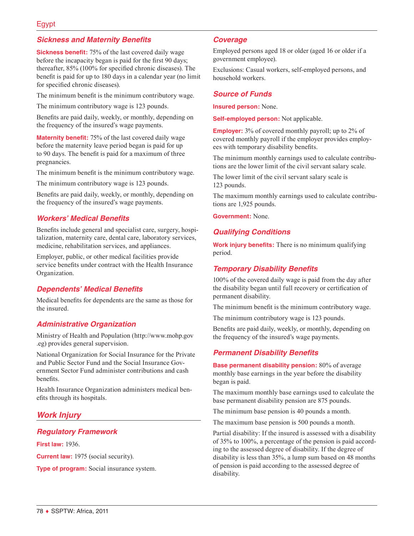#### *Sickness and Maternity Benefits*

**Sickness benefit:** 75% of the last covered daily wage before the incapacity began is paid for the first 90 days; thereafter, 85% (100% for specified chronic diseases). The benefit is paid for up to 180 days in a calendar year (no limit for specified chronic diseases).

The minimum benefit is the minimum contributory wage.

The minimum contributory wage is 123 pounds.

Benefits are paid daily, weekly, or monthly, depending on the frequency of the insured's wage payments.

**Maternity benefit:** 75% of the last covered daily wage before the maternity leave period began is paid for up to 90 days. The benefit is paid for a maximum of three pregnancies.

The minimum benefit is the minimum contributory wage.

The minimum contributory wage is 123 pounds.

Benefits are paid daily, weekly, or monthly, depending on the frequency of the insured's wage payments.

#### *Workers' Medical Benefits*

Benefits include general and specialist care, surgery, hospitalization, maternity care, dental care, laboratory services, medicine, rehabilitation services, and appliances.

Employer, public, or other medical facilities provide service benefits under contract with the Health Insurance Organization.

#### *Dependents' Medical Benefits*

Medical benefits for dependents are the same as those for the insured.

#### *Administrative Organization*

Ministry of Health and Population ([http://www.mohp.gov](http://www.mohp.gov.eg) [.eg\)](http://www.mohp.gov.eg) provides general supervision.

National Organization for Social Insurance for the Private and Public Sector Fund and the Social Insurance Government Sector Fund administer contributions and cash benefits.

Health Insurance Organization administers medical benefits through its hospitals.

# *Work Injury*

## *Regulatory Framework*

**First law:** 1936.

**Current law:** 1975 (social security).

**Type of program:** Social insurance system.

#### *Coverage*

Employed persons aged 18 or older (aged 16 or older if a government employee).

Exclusions: Casual workers, self-employed persons, and household workers.

#### *Source of Funds*

**Insured person:** None.

**Self-employed person:** Not applicable.

**Employer:** 3% of covered monthly payroll; up to 2% of covered monthly payroll if the employer provides employees with temporary disability benefits.

The minimum monthly earnings used to calculate contributions are the lower limit of the civil servant salary scale.

The lower limit of the civil servant salary scale is 123 pounds.

The maximum monthly earnings used to calculate contributions are 1,925 pounds.

**Government:** None.

#### *Qualifying Conditions*

**Work injury benefits:** There is no minimum qualifying period.

#### *Temporary Disability Benefits*

100% of the covered daily wage is paid from the day after the disability began until full recovery or certification of permanent disability.

The minimum benefit is the minimum contributory wage.

The minimum contributory wage is 123 pounds.

Benefits are paid daily, weekly, or monthly, depending on the frequency of the insured's wage payments.

#### *Permanent Disability Benefits*

**Base permanent disability pension:** 80% of average monthly base earnings in the year before the disability began is paid.

The maximum monthly base earnings used to calculate the base permanent disability pension are 875 pounds.

The minimum base pension is 40 pounds a month.

The maximum base pension is 500 pounds a month.

Partial disability: If the insured is assessed with a disability of 35% to 100%, a percentage of the pension is paid according to the assessed degree of disability. If the degree of disability is less than 35%, a lump sum based on 48 months of pension is paid according to the assessed degree of disability.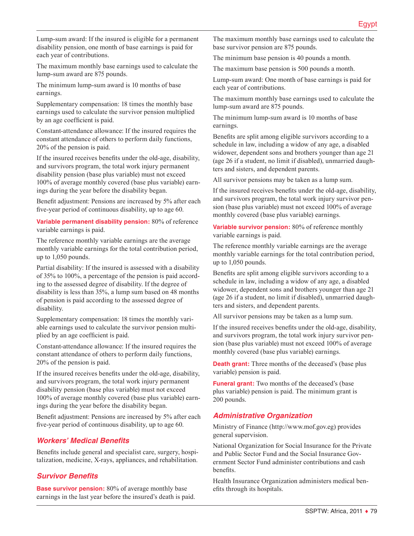Lump-sum award: If the insured is eligible for a permanent disability pension, one month of base earnings is paid for each year of contributions.

The maximum monthly base earnings used to calculate the lump-sum award are 875 pounds.

The minimum lump-sum award is 10 months of base earnings.

Supplementary compensation: 18 times the monthly base earnings used to calculate the survivor pension multiplied by an age coefficient is paid.

Constant-attendance allowance: If the insured requires the constant attendance of others to perform daily functions, 20% of the pension is paid.

If the insured receives benefits under the old-age, disability, and survivors program, the total work injury permanent disability pension (base plus variable) must not exceed 100% of average monthly covered (base plus variable) earnings during the year before the disability began.

Benefit adjustment: Pensions are increased by 5% after each five-year period of continuous disability, up to age 60.

**Variable permanent disability pension:** 80% of reference variable earnings is paid.

The reference monthly variable earnings are the average monthly variable earnings for the total contribution period, up to 1,050 pounds.

Partial disability: If the insured is assessed with a disability of 35% to 100%, a percentage of the pension is paid according to the assessed degree of disability. If the degree of disability is less than 35%, a lump sum based on 48 months of pension is paid according to the assessed degree of disability.

Supplementary compensation: 18 times the monthly variable earnings used to calculate the survivor pension multiplied by an age coefficient is paid.

Constant-attendance allowance: If the insured requires the constant attendance of others to perform daily functions, 20% of the pension is paid.

If the insured receives benefits under the old-age, disability, and survivors program, the total work injury permanent disability pension (base plus variable) must not exceed 100% of average monthly covered (base plus variable) earnings during the year before the disability began.

Benefit adjustment: Pensions are increased by 5% after each five-year period of continuous disability, up to age 60.

## *Workers' Medical Benefits*

Benefits include general and specialist care, surgery, hospitalization, medicine, X-rays, appliances, and rehabilitation.

## *Survivor Benefits*

**Base survivor pension:** 80% of average monthly base earnings in the last year before the insured's death is paid. The maximum monthly base earnings used to calculate the base survivor pension are 875 pounds.

The minimum base pension is 40 pounds a month.

The maximum base pension is 500 pounds a month.

Lump-sum award: One month of base earnings is paid for each year of contributions.

The maximum monthly base earnings used to calculate the lump-sum award are 875 pounds.

The minimum lump-sum award is 10 months of base earnings.

Benefits are split among eligible survivors according to a schedule in law, including a widow of any age, a disabled widower, dependent sons and brothers younger than age 21 (age 26 if a student, no limit if disabled), unmarried daughters and sisters, and dependent parents.

All survivor pensions may be taken as a lump sum.

If the insured receives benefits under the old-age, disability, and survivors program, the total work injury survivor pension (base plus variable) must not exceed 100% of average monthly covered (base plus variable) earnings.

**Variable survivor pension:** 80% of reference monthly variable earnings is paid.

The reference monthly variable earnings are the average monthly variable earnings for the total contribution period, up to 1,050 pounds.

Benefits are split among eligible survivors according to a schedule in law, including a widow of any age, a disabled widower, dependent sons and brothers younger than age 21 (age 26 if a student, no limit if disabled), unmarried daughters and sisters, and dependent parents.

All survivor pensions may be taken as a lump sum.

If the insured receives benefits under the old-age, disability, and survivors program, the total work injury survivor pension (base plus variable) must not exceed 100% of average monthly covered (base plus variable) earnings.

**Death grant:** Three months of the deceased's (base plus variable) pension is paid.

**Funeral grant:** Two months of the deceased's (base plus variable) pension is paid. The minimum grant is 200 pounds.

## *Administrative Organization*

Ministry of Finance ([http://www.mof.gov.eg\)](http://www.mof.gov.eg) provides general supervision.

National Organization for Social Insurance for the Private and Public Sector Fund and the Social Insurance Government Sector Fund administer contributions and cash benefits.

Health Insurance Organization administers medical benefits through its hospitals.